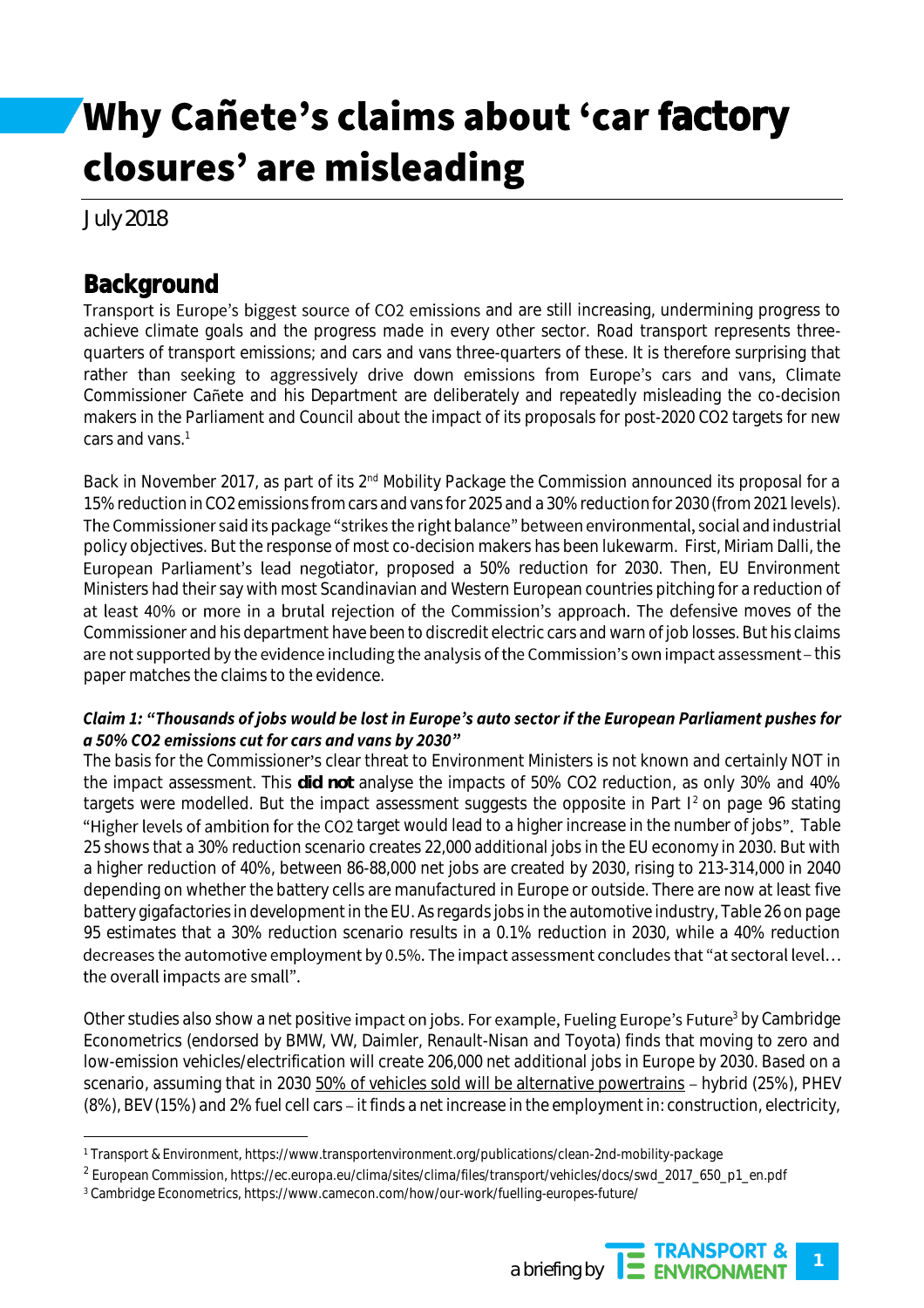# Why Cañete's claims about 'car factory closures' are misleading

July 2018

 $\overline{\phantom{a}}$ 

## **Background**

Transport is Europe's biggest source of CO2 emissions and are still increasing, undermining progress to achieve climate goals and the progress made in every other sector. Road transport represents threequarters of transport emissions; and cars and vans three-quarters of these. It is therefore surprising that rather than seeking to aggressively drive down emissions from Europe's cars and vans, Climate Commissioner Cañete and his Department are deliberately and repeatedly misleading the co-decision makers in the Parliament and Council about the impact of its proposals for post-2020 CO2 targets for new cars and vans. 1

Back in November 2017, as part of its 2<sup>nd</sup> Mobility Package the Commission announced its proposal for a 15% reduction in CO2 emissions from cars and vans for 2025 and a 30% reduction for 2030 (from 2021 levels). The Commissioner said its package "strikes the right balance" between environmental, social and industrial policy objectives. But the response of most co-decision makers has been lukewarm. First, Miriam Dalli, the European Parliament's lead negotiator, proposed a 50% reduction for 2030. Then, EU Environment Ministers had their say with most Scandinavian and Western European countries pitching for a reduction of at least 40% or more in a brutal rejection of the Commission's approach. The defensive moves of the Commissioner and his department have been to discredit electric cars and warn of job losses. But his claims are not supported by the evidence including the analysis of the Commission's own impact assessment - this paper matches the claims to the evidence.

### Claim 1: "Thousands of jobs would be lost in Europe's auto sector if the European Parliament pushes for a 50% CO2 emissions cut for cars and vans by 2030"

The basis for the Commissioner's clear threat to Environment Ministers is not known and certainly NOT in the impact assessment. This **did not** analyse the impacts of 50% CO2 reduction, as only 30% and 40% targets were modelled. But the impact assessment suggests the opposite in Part  $1<sup>2</sup>$  on page 96 stating "Higher levels of ambition for the CO2 target would lead to a higher increase in the number of jobs". Table 25 shows that a 30% reduction scenario creates 22,000 additional jobs in the EU economy in 2030. But with a higher reduction of 40%, between 86-88,000 net jobs are created by 2030, rising to 213-314,000 in 2040 depending on whether the battery cells are manufactured in Europe or outside. There are now at least five battery gigafactories in development in the EU. As regards jobs in the automotive industry, Table 26 on page 95 estimates that a 30% reduction scenario results in a 0.1% reduction in 2030, while a 40% reduction decreases the automotive employment by 0.5%. The impact assessment concludes that "at sectoral level... the overall impacts are small".

Other studies also show a net positive impact on jobs. For example, Fueling Europe's Future<sup>3</sup> by Cambridge Econometrics (endorsed by BMW, VW, Daimler, Renault-Nisan and Toyota) finds that moving to zero and low-emission vehicles/electrification will create 206,000 net additional jobs in Europe by 2030. Based on a scenario, assuming that in 2030 50% of vehicles sold will be alternative powertrains - hybrid (25%), PHEV (8%), BEV (15%) and 2% fuel cell cars – it finds a net increase in the employment in: construction, electricity,

<sup>3</sup> Cambridge Econometrics, https://www.camecon.com/how/our-work/fuelling-europes-future/



<sup>1</sup> Transport & Environment, https://www.transportenvironment.org/publications/clean-2nd-mobility-package

<sup>2</sup> European Commission, https://ec.europa.eu/clima/sites/clima/files/transport/vehicles/docs/swd\_2017\_650\_p1\_en.pdf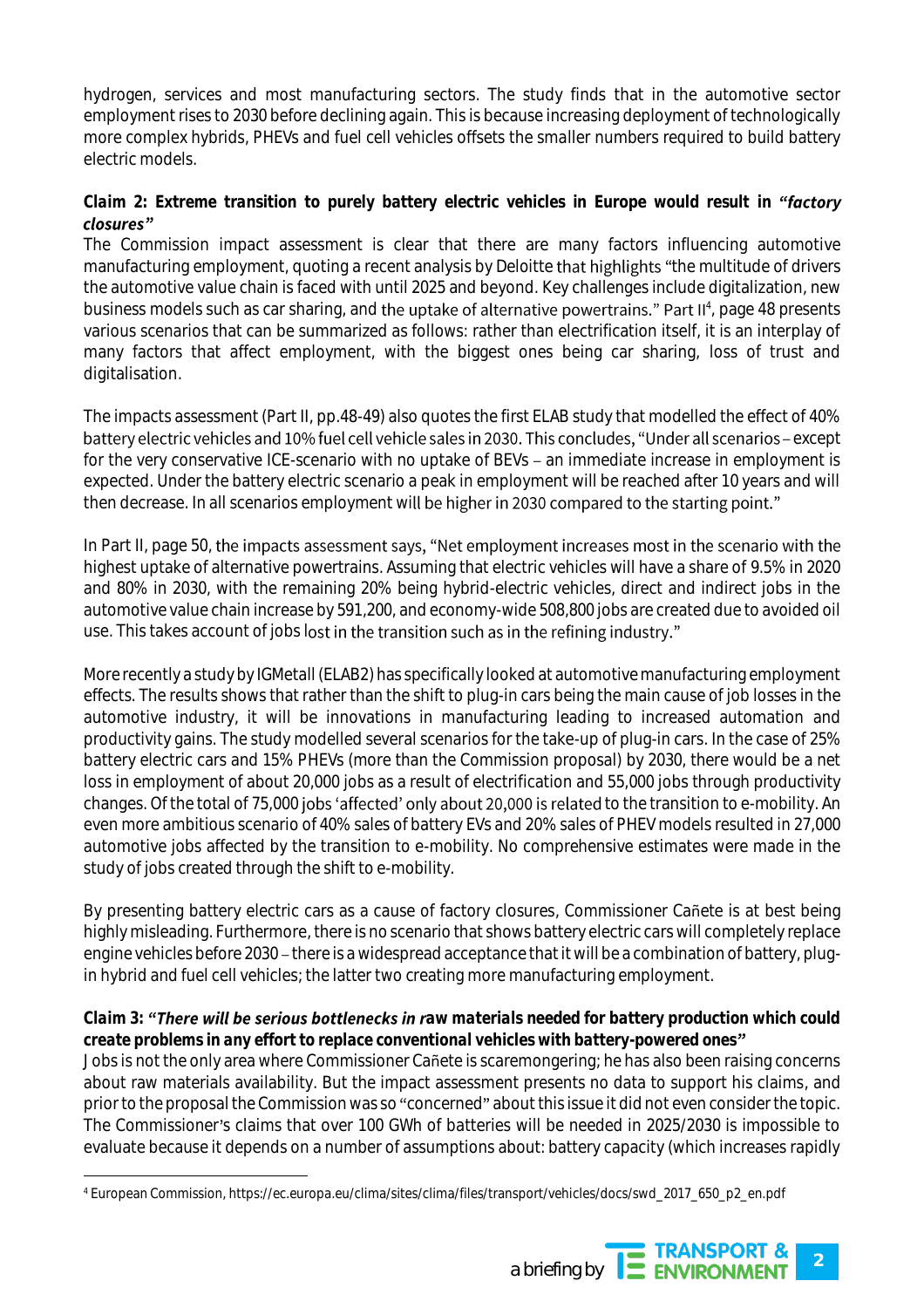hydrogen, services and most manufacturing sectors. The study finds that in the automotive sector employment rises to 2030 before declining again. This is because increasing deployment of technologically more complex hybrids, PHEVs and fuel cell vehicles offsets the smaller numbers required to build battery electric models.

### *Claim 2: Extreme transition to purely battery electric vehicles in Europe would result in "factory* closures"

The Commission impact assessment is clear that there are many factors influencing automotive manufacturing employment, quoting a recent analysis by Deloitte that highlights "the multitude of drivers" the automotive value chain is faced with until 2025 and beyond. Key challenges include digitalization, new business models such as car sharing, and the uptake of alternative powertrains." Part II<sup>4</sup>, page 48 presents various scenarios that can be summarized as follows: rather than electrification itself, it is an interplay of many factors that affect employment, with the biggest ones being car sharing, loss of trust and digitalisation.

The impacts assessment (Part II, pp.48-49) also quotes the first ELAB study that modelled the effect of 40% battery electric vehicles and 10% fuel cell vehicle sales in 2030. This concludes, "Under all scenarios - except for the very conservative ICE-scenario with no uptake of BEVs - an immediate increase in employment is expected. Under the battery electric scenario a peak in employment will be reached after 10 years and will then decrease. In all scenarios employment will be higher in 2030 compared to the starting point."

In Part II, page 50, the impacts assessment says, "Net employment increases most in the scenario with the highest uptake of alternative powertrains. Assuming that electric vehicles will have a share of 9.5% in 2020 and 80% in 2030, with the remaining 20% being hybrid-electric vehicles, direct and indirect jobs in the automotive value chain increase by 591,200, and economy-wide 508,800 jobs are created due to avoided oil use. This takes account of jobs lost in the transition such as in the refining industry."

More recently a study by IGMetall (ELAB2) has specifically looked at automotive manufacturing employment effects. The results shows that rather than the shift to plug-in cars being the main cause of job losses in the automotive industry, it will be innovations in manufacturing leading to increased automation and productivity gains. The study modelled several scenarios for the take-up of plug-in cars. In the case of 25% battery electric cars and 15% PHEVs (more than the Commission proposal) by 2030, there would be a net loss in employment of about 20,000 jobs as a result of electrification and 55,000 jobs through productivity changes. Of the total of 75,000 jobs 'affected' only about 20,000 is related to the transition to e-mobility. An even more ambitious scenario of 40% sales of battery EVs and 20% sales of PHEV models resulted in 27,000 automotive jobs affected by the transition to e-mobility. No comprehensive estimates were made in the study of jobs created through the shift to e-mobility.

By presenting battery electric cars as a cause of factory closures, Commissioner Cañete is at best being highly misleading. Furthermore, there is no scenario that shows battery electric cars will completely replace engine vehicles before 2030 – there is a widespread acceptance that it will be a combination of battery, plugin hybrid and fuel cell vehicles; the latter two creating more manufacturing employment.

#### *Claim 3:* "There will be serious bottlenecks in raw materials needed for battery production which could *create problems in any effort to replace conventional vehicles with battery-powered ones*

Jobs is not the only area where Commissioner Cañete is scaremongering; he has also been raising concerns about raw materials availability. But the impact assessment presents no data to support his claims, and prior to the proposal the Commission was so "concerned" about this issue it did not even consider the topic. The Commissioner's claims that over 100 GWh of batteries will be needed in 2025/2030 is impossible to evaluate because it depends on a number of assumptions about: battery capacity (which increases rapidly

 $\overline{\phantom{a}}$ 



<sup>4</sup> European Commission, https://ec.europa.eu/clima/sites/clima/files/transport/vehicles/docs/swd\_2017\_650\_p2\_en.pdf